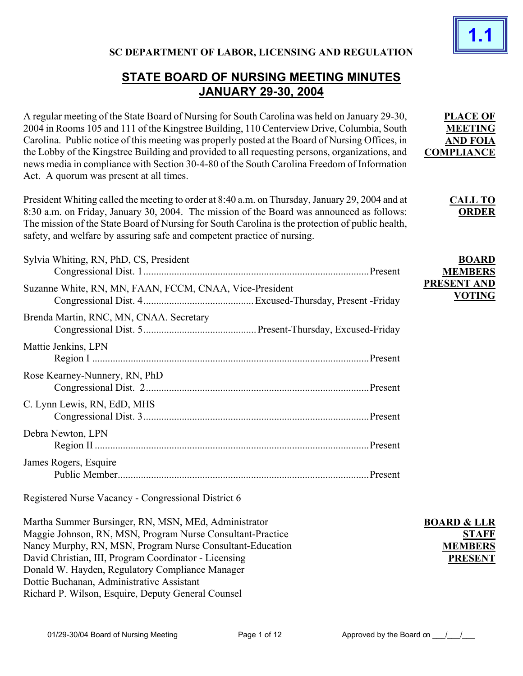

**PLACE OF MEETING AND FOIA COMPLIANCE**

> **CALL TO ORDER**

## **SC DEPARTMENT OF LABOR, LICENSING AND REGULATION**

# **STATE BOARD OF NURSING MEETING MINUTES JANUARY 29-30, 2004**

A regular meeting of the State Board of Nursing for South Carolina was held on January 29-30, 2004 in Rooms 105 and 111 of the Kingstree Building, 110 Centerview Drive, Columbia, South Carolina. Public notice of this meeting was properly posted at the Board of Nursing Offices, in the Lobby of the Kingstree Building and provided to all requesting persons, organizations, and news media in compliance with Section 30-4-80 of the South Carolina Freedom of Information Act. A quorum was present at all times.

President Whiting called the meeting to order at 8:40 a.m. on Thursday, January 29, 2004 and at 8:30 a.m. on Friday, January 30, 2004. The mission of the Board was announced as follows: The mission of the State Board of Nursing for South Carolina is the protection of public health, safety, and welfare by assuring safe and competent practice of nursing.

| Sylvia Whiting, RN, PhD, CS, President                  |         | <b>BOARD</b><br><b>MEMBERS</b>      |
|---------------------------------------------------------|---------|-------------------------------------|
| Suzanne White, RN, MN, FAAN, FCCM, CNAA, Vice-President |         | <b>PRESENT AND</b><br><b>VOTING</b> |
| Brenda Martin, RNC, MN, CNAA. Secretary                 |         |                                     |
| Mattie Jenkins, LPN                                     |         |                                     |
| Rose Kearney-Nunnery, RN, PhD                           |         |                                     |
| C. Lynn Lewis, RN, EdD, MHS                             |         |                                     |
| Debra Newton, LPN                                       |         |                                     |
| James Rogers, Esquire                                   | Present |                                     |

Registered Nurse Vacancy - Congressional District 6

Martha Summer Bursinger, RN, MSN, MEd, Administrator Maggie Johnson, RN, MSN, Program Nurse Consultant-Practice Nancy Murphy, RN, MSN, Program Nurse Consultant-Education David Christian, III, Program Coordinator - Licensing Donald W. Hayden, Regulatory Compliance Manager Dottie Buchanan, Administrative Assistant Richard P. Wilson, Esquire, Deputy General Counsel

**BOARD & LLR STAFF MEMBERS PRESENT**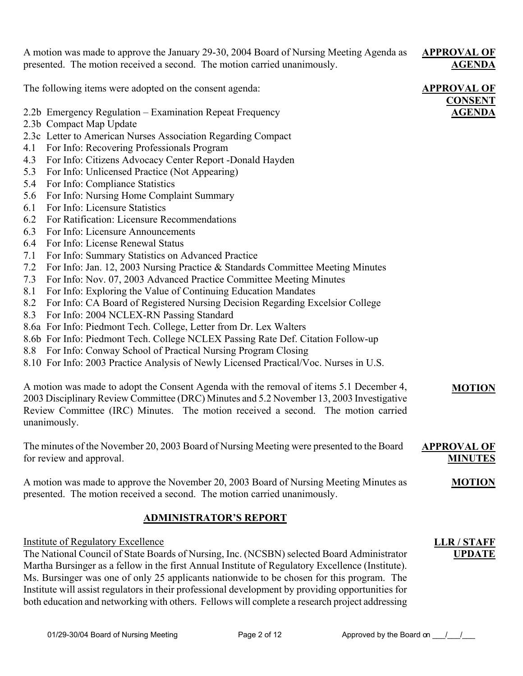A motion was made to approve the January 29-30, 2004 Board of Nursing Meeting Agenda as presented. The motion received a second. The motion carried unanimously.

#### **APPROVAL OF AGENDA**

The following items were adopted on the consent agenda:

- 2.2b Emergency Regulation Examination Repeat Frequency
- 2.3b Compact Map Update
- 2.3c Letter to American Nurses Association Regarding Compact
- 4.1 For Info: Recovering Professionals Program
- 4.3 For Info: Citizens Advocacy Center Report -Donald Hayden
- 5.3 For Info: Unlicensed Practice (Not Appearing)
- 5.4 For Info: Compliance Statistics
- 5.6 For Info: Nursing Home Complaint Summary
- 6.1 For Info: Licensure Statistics
- 6.2 For Ratification: Licensure Recommendations
- 6.3 For Info: Licensure Announcements
- 6.4 For Info: License Renewal Status
- 7.1 For Info: Summary Statistics on Advanced Practice
- 7.2 For Info: Jan. 12, 2003 Nursing Practice & Standards Committee Meeting Minutes
- 7.3 For Info: Nov. 07, 2003 Advanced Practice Committee Meeting Minutes
- 8.1 For Info: Exploring the Value of Continuing Education Mandates
- 8.2 For Info: CA Board of Registered Nursing Decision Regarding Excelsior College
- 8.3 For Info: 2004 NCLEX-RN Passing Standard
- 8.6a For Info: Piedmont Tech. College, Letter from Dr. Lex Walters
- 8.6b For Info: Piedmont Tech. College NCLEX Passing Rate Def. Citation Follow-up
- 8.8 For Info: Conway School of Practical Nursing Program Closing
- 8.10 For Info: 2003 Practice Analysis of Newly Licensed Practical/Voc. Nurses in U.S.

A motion was made to adopt the Consent Agenda with the removal of items 5.1 December 4, 2003 Disciplinary Review Committee (DRC) Minutes and 5.2 November 13, 2003 Investigative Review Committee (IRC) Minutes. The motion received a second. The motion carried unanimously. **MOTION**

The minutes of the November 20, 2003 Board of Nursing Meeting were presented to the Board for review and approval. **APPROVAL OF MINUTES**

A motion was made to approve the November 20, 2003 Board of Nursing Meeting Minutes as presented. The motion received a second. The motion carried unanimously.

## **ADMINISTRATOR'S REPORT**

#### Institute of Regulatory Excellence

The National Council of State Boards of Nursing, Inc. (NCSBN) selected Board Administrator Martha Bursinger as a fellow in the first Annual Institute of Regulatory Excellence (Institute). Ms. Bursinger was one of only 25 applicants nationwide to be chosen for this program. The Institute will assist regulators in their professional development by providing opportunities for both education and networking with others. Fellows will complete a research project addressing

## **APPROVAL OF CONSENT AGENDA**

**LLR / STAFF UPDATE**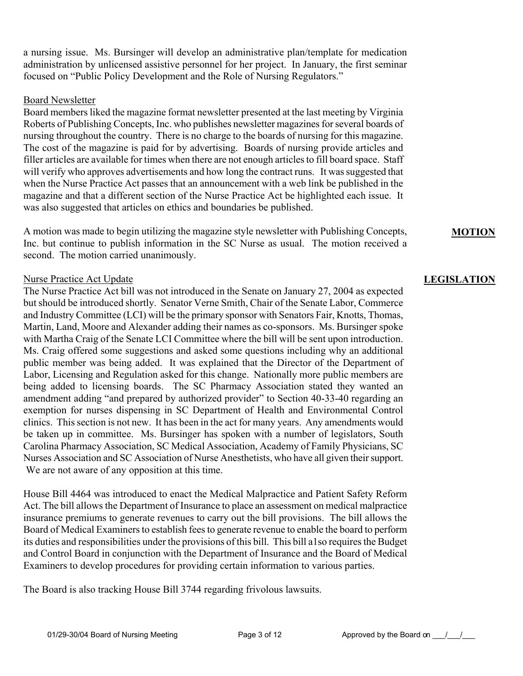a nursing issue. Ms. Bursinger will develop an administrative plan/template for medication administration by unlicensed assistive personnel for her project. In January, the first seminar focused on "Public Policy Development and the Role of Nursing Regulators."

#### Board Newsletter

Board members liked the magazine format newsletter presented at the last meeting by Virginia Roberts of Publishing Concepts, Inc. who publishes newsletter magazines for several boards of nursing throughout the country. There is no charge to the boards of nursing for this magazine. The cost of the magazine is paid for by advertising. Boards of nursing provide articles and filler articles are available for times when there are not enough articles to fill board space. Staff will verify who approves advertisements and how long the contract runs. It was suggested that when the Nurse Practice Act passes that an announcement with a web link be published in the magazine and that a different section of the Nurse Practice Act be highlighted each issue. It was also suggested that articles on ethics and boundaries be published.

A motion was made to begin utilizing the magazine style newsletter with Publishing Concepts, Inc. but continue to publish information in the SC Nurse as usual. The motion received a second. The motion carried unanimously.

#### Nurse Practice Act Update

The Nurse Practice Act bill was not introduced in the Senate on January 27, 2004 as expected but should be introduced shortly. Senator Verne Smith, Chair of the Senate Labor, Commerce and Industry Committee (LCI) will be the primary sponsor with Senators Fair, Knotts, Thomas, Martin, Land, Moore and Alexander adding their names as co-sponsors. Ms. Bursinger spoke with Martha Craig of the Senate LCI Committee where the bill will be sent upon introduction. Ms. Craig offered some suggestions and asked some questions including why an additional public member was being added. It was explained that the Director of the Department of Labor, Licensing and Regulation asked for this change. Nationally more public members are being added to licensing boards. The SC Pharmacy Association stated they wanted an amendment adding "and prepared by authorized provider" to Section 40-33-40 regarding an exemption for nurses dispensing in SC Department of Health and Environmental Control clinics. This section is not new. It has been in the act for many years. Any amendments would be taken up in committee. Ms. Bursinger has spoken with a number of legislators, South Carolina Pharmacy Association, SC Medical Association, Academy of Family Physicians, SC Nurses Association and SC Association of Nurse Anesthetists, who have all given their support. We are not aware of any opposition at this time.

House Bill 4464 was introduced to enact the Medical Malpractice and Patient Safety Reform Act. The bill allows the Department of Insurance to place an assessment on medical malpractice insurance premiums to generate revenues to carry out the bill provisions. The bill allows the Board of Medical Examiners to establish fees to generate revenue to enable the board to perform its duties and responsibilities under the provisions of this bill. This bill a1so requires the Budget and Control Board in conjunction with the Department of Insurance and the Board of Medical Examiners to develop procedures for providing certain information to various parties.

The Board is also tracking House Bill 3744 regarding frivolous lawsuits.

**MOTION**

## **LEGISLATION**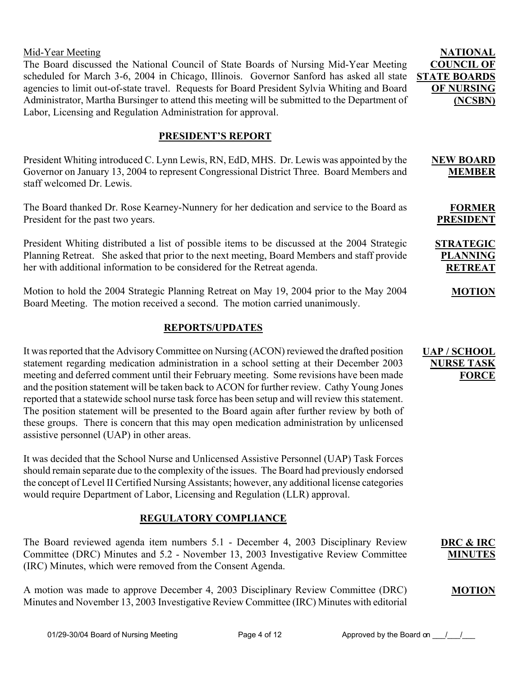01/29-30/04 Board of Nursing Meeting Page 4 of 12 Approved by the Board on  $\frac{1}{2}$ 

Mid-Year Meeting The Board discussed the National Council of State Boards of Nursing Mid-Year Meeting scheduled for March 3-6, 2004 in Chicago, Illinois. Governor Sanford has asked all state agencies to limit out-of-state travel. Requests for Board President Sylvia Whiting and Board Administrator, Martha Bursinger to attend this meeting will be submitted to the Department of Labor, Licensing and Regulation Administration for approval.

## **PRESIDENT'S REPORT**

President Whiting introduced C. Lynn Lewis, RN, EdD, MHS. Dr. Lewis was appointed by the Governor on January 13, 2004 to represent Congressional District Three. Board Members and staff welcomed Dr. Lewis.

The Board thanked Dr. Rose Kearney-Nunnery for her dedication and service to the Board as President for the past two years.

President Whiting distributed a list of possible items to be discussed at the 2004 Strategic Planning Retreat. She asked that prior to the next meeting, Board Members and staff provide her with additional information to be considered for the Retreat agenda.

Motion to hold the 2004 Strategic Planning Retreat on May 19, 2004 prior to the May 2004 Board Meeting. The motion received a second. The motion carried unanimously.

## **REPORTS/UPDATES**

It was reported that the Advisory Committee on Nursing (ACON) reviewed the drafted position statement regarding medication administration in a school setting at their December 2003 meeting and deferred comment until their February meeting. Some revisions have been made and the position statement will be taken back to ACON for further review. Cathy Young Jones reported that a statewide school nurse task force has been setup and will review this statement. The position statement will be presented to the Board again after further review by both of these groups. There is concern that this may open medication administration by unlicensed assistive personnel (UAP) in other areas.

It was decided that the School Nurse and Unlicensed Assistive Personnel (UAP) Task Forces should remain separate due to the complexity of the issues. The Board had previously endorsed the concept of Level II Certified Nursing Assistants; however, any additional license categories would require Department of Labor, Licensing and Regulation (LLR) approval.

## **REGULATORY COMPLIANCE**

The Board reviewed agenda item numbers 5.1 - December 4, 2003 Disciplinary Review Committee (DRC) Minutes and 5.2 - November 13, 2003 Investigative Review Committee (IRC) Minutes, which were removed from the Consent Agenda.

A motion was made to approve December 4, 2003 Disciplinary Review Committee (DRC) Minutes and November 13, 2003 Investigative Review Committee (IRC) Minutes with editorial

#### **UAP / SCHOOL NURSE TASK FORCE**

**DRC & IRC MINUTES**

**MOTION**

**NATIONAL COUNCIL OF STATE BOARDS OF NURSING (NCSBN)**

> **NEW BOARD MEMBER**

**FORMER PRESIDENT**

**MOTION**

**STRATEGIC PLANNING RETREAT**

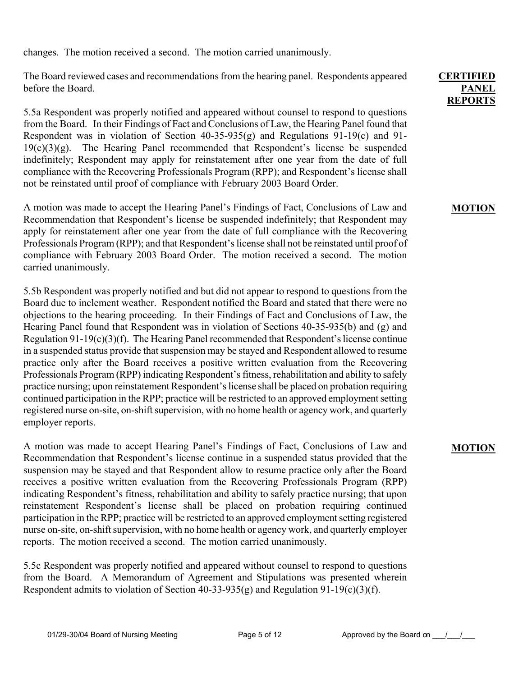changes. The motion received a second. The motion carried unanimously.

The Board reviewed cases and recommendations from the hearing panel. Respondents appeared before the Board.

5.5a Respondent was properly notified and appeared without counsel to respond to questions from the Board. In their Findings of Fact and Conclusions of Law, the Hearing Panel found that Respondent was in violation of Section 40-35-935(g) and Regulations 91-19(c) and 91-  $19(c)(3)(g)$ . The Hearing Panel recommended that Respondent's license be suspended indefinitely; Respondent may apply for reinstatement after one year from the date of full compliance with the Recovering Professionals Program (RPP); and Respondent's license shall not be reinstated until proof of compliance with February 2003 Board Order.

A motion was made to accept the Hearing Panel's Findings of Fact, Conclusions of Law and Recommendation that Respondent's license be suspended indefinitely; that Respondent may apply for reinstatement after one year from the date of full compliance with the Recovering Professionals Program (RPP); and that Respondent's license shall not be reinstated until proof of compliance with February 2003 Board Order. The motion received a second. The motion carried unanimously.

5.5b Respondent was properly notified and but did not appear to respond to questions from the Board due to inclement weather. Respondent notified the Board and stated that there were no objections to the hearing proceeding. In their Findings of Fact and Conclusions of Law, the Hearing Panel found that Respondent was in violation of Sections 40-35-935(b) and (g) and Regulation 91-19(c)(3)(f). The Hearing Panel recommended that Respondent's license continue in a suspended status provide that suspension may be stayed and Respondent allowed to resume practice only after the Board receives a positive written evaluation from the Recovering Professionals Program (RPP) indicating Respondent's fitness, rehabilitation and ability to safely practice nursing; upon reinstatement Respondent's license shall be placed on probation requiring continued participation in the RPP; practice will be restricted to an approved employment setting registered nurse on-site, on-shift supervision, with no home health or agency work, and quarterly employer reports.

A motion was made to accept Hearing Panel's Findings of Fact, Conclusions of Law and Recommendation that Respondent's license continue in a suspended status provided that the suspension may be stayed and that Respondent allow to resume practice only after the Board receives a positive written evaluation from the Recovering Professionals Program (RPP) indicating Respondent's fitness, rehabilitation and ability to safely practice nursing; that upon reinstatement Respondent's license shall be placed on probation requiring continued participation in the RPP; practice will be restricted to an approved employment setting registered nurse on-site, on-shift supervision, with no home health or agency work, and quarterly employer reports. The motion received a second. The motion carried unanimously.

5.5c Respondent was properly notified and appeared without counsel to respond to questions from the Board. A Memorandum of Agreement and Stipulations was presented wherein Respondent admits to violation of Section 40-33-935(g) and Regulation 91-19(c)(3)(f).

#### **CERTIFIED PANEL REPORTS**

#### **MOTION**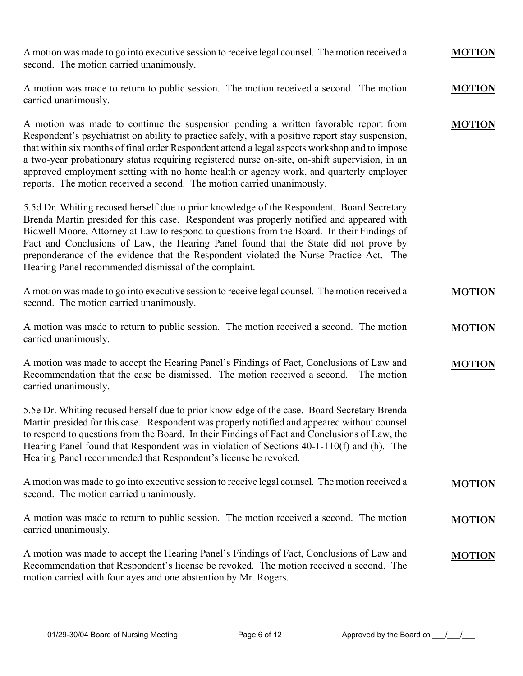| A motion was made to go into executive session to receive legal counsel. The motion received a<br>second. The motion carried unanimously.                                                                                                                                                                                                                                                                                                                                                                                                                        | <b>MOTION</b> |
|------------------------------------------------------------------------------------------------------------------------------------------------------------------------------------------------------------------------------------------------------------------------------------------------------------------------------------------------------------------------------------------------------------------------------------------------------------------------------------------------------------------------------------------------------------------|---------------|
| A motion was made to return to public session. The motion received a second. The motion<br>carried unanimously.                                                                                                                                                                                                                                                                                                                                                                                                                                                  | <b>MOTION</b> |
| A motion was made to continue the suspension pending a written favorable report from<br>Respondent's psychiatrist on ability to practice safely, with a positive report stay suspension,<br>that within six months of final order Respondent attend a legal aspects workshop and to impose<br>a two-year probationary status requiring registered nurse on-site, on-shift supervision, in an<br>approved employment setting with no home health or agency work, and quarterly employer<br>reports. The motion received a second. The motion carried unanimously. | <b>MOTION</b> |
| 5.5d Dr. Whiting recused herself due to prior knowledge of the Respondent. Board Secretary<br>Brenda Martin presided for this case. Respondent was properly notified and appeared with<br>Bidwell Moore, Attorney at Law to respond to questions from the Board. In their Findings of<br>Fact and Conclusions of Law, the Hearing Panel found that the State did not prove by<br>preponderance of the evidence that the Respondent violated the Nurse Practice Act. The<br>Hearing Panel recommended dismissal of the complaint.                                 |               |
| A motion was made to go into executive session to receive legal counsel. The motion received a<br>second. The motion carried unanimously.                                                                                                                                                                                                                                                                                                                                                                                                                        | <b>MOTION</b> |
| A motion was made to return to public session. The motion received a second. The motion<br>carried unanimously.                                                                                                                                                                                                                                                                                                                                                                                                                                                  | <b>MOTION</b> |
| A motion was made to accept the Hearing Panel's Findings of Fact, Conclusions of Law and<br>Recommendation that the case be dismissed. The motion received a second. The motion<br>carried unanimously.                                                                                                                                                                                                                                                                                                                                                          | <b>MOTION</b> |
| 5.5e Dr. Whiting recused herself due to prior knowledge of the case. Board Secretary Brenda<br>Martin presided for this case. Respondent was properly notified and appeared without counsel<br>to respond to questions from the Board. In their Findings of Fact and Conclusions of Law, the<br>Hearing Panel found that Respondent was in violation of Sections 40-1-110(f) and (h). The<br>Hearing Panel recommended that Respondent's license be revoked.                                                                                                     |               |
| A motion was made to go into executive session to receive legal counsel. The motion received a<br>second. The motion carried unanimously.                                                                                                                                                                                                                                                                                                                                                                                                                        | <b>MOTION</b> |
| A motion was made to return to public session. The motion received a second. The motion<br>carried unanimously.                                                                                                                                                                                                                                                                                                                                                                                                                                                  | <b>MOTION</b> |
| A motion was made to accept the Hearing Panel's Findings of Fact, Conclusions of Law and<br>Recommendation that Respondent's license be revoked. The motion received a second. The<br>motion carried with four ayes and one abstention by Mr. Rogers.                                                                                                                                                                                                                                                                                                            | <b>MOTION</b> |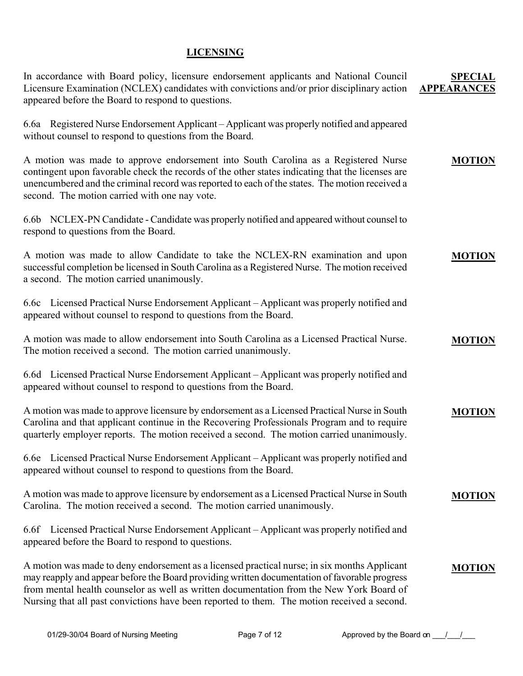## **LICENSING**

| In accordance with Board policy, licensure endorsement applicants and National Council<br>Licensure Examination (NCLEX) candidates with convictions and/or prior disciplinary action<br>appeared before the Board to respond to questions.                                                                                                                                               | <b>SPECIAL</b><br><b>APPEARANCES</b> |
|------------------------------------------------------------------------------------------------------------------------------------------------------------------------------------------------------------------------------------------------------------------------------------------------------------------------------------------------------------------------------------------|--------------------------------------|
| 6.6a Registered Nurse Endorsement Applicant – Applicant was properly notified and appeared<br>without counsel to respond to questions from the Board.                                                                                                                                                                                                                                    |                                      |
| A motion was made to approve endorsement into South Carolina as a Registered Nurse<br>contingent upon favorable check the records of the other states indicating that the licenses are<br>unencumbered and the criminal record was reported to each of the states. The motion received a<br>second. The motion carried with one nay vote.                                                | <b>MOTION</b>                        |
| 6.6b NCLEX-PN Candidate - Candidate was properly notified and appeared without counsel to<br>respond to questions from the Board.                                                                                                                                                                                                                                                        |                                      |
| A motion was made to allow Candidate to take the NCLEX-RN examination and upon<br>successful completion be licensed in South Carolina as a Registered Nurse. The motion received<br>a second. The motion carried unanimously.                                                                                                                                                            | <b>MOTION</b>                        |
| 6.6c Licensed Practical Nurse Endorsement Applicant – Applicant was properly notified and<br>appeared without counsel to respond to questions from the Board.                                                                                                                                                                                                                            |                                      |
| A motion was made to allow endorsement into South Carolina as a Licensed Practical Nurse.<br>The motion received a second. The motion carried unanimously.                                                                                                                                                                                                                               | <b>MOTION</b>                        |
| 6.6d Licensed Practical Nurse Endorsement Applicant – Applicant was properly notified and<br>appeared without counsel to respond to questions from the Board.                                                                                                                                                                                                                            |                                      |
| A motion was made to approve licensure by endorsement as a Licensed Practical Nurse in South<br>Carolina and that applicant continue in the Recovering Professionals Program and to require<br>quarterly employer reports. The motion received a second. The motion carried unanimously.                                                                                                 | <b>MOTION</b>                        |
| 6.6e Licensed Practical Nurse Endorsement Applicant – Applicant was properly notified and<br>appeared without counsel to respond to questions from the Board.                                                                                                                                                                                                                            |                                      |
| A motion was made to approve licensure by endorsement as a Licensed Practical Nurse in South<br>Carolina. The motion received a second. The motion carried unanimously.                                                                                                                                                                                                                  | <b>MOTION</b>                        |
| 6.6f Licensed Practical Nurse Endorsement Applicant – Applicant was properly notified and<br>appeared before the Board to respond to questions.                                                                                                                                                                                                                                          |                                      |
| A motion was made to deny endorsement as a licensed practical nurse; in six months Applicant<br>may reapply and appear before the Board providing written documentation of favorable progress<br>from mental health counselor as well as written documentation from the New York Board of<br>Nursing that all past convictions have been reported to them. The motion received a second. | <b>MOTION</b>                        |

01/29-30/04 Board of Nursing Meeting  $P$ age 7 of 12 Approved by the Board on  $1/2$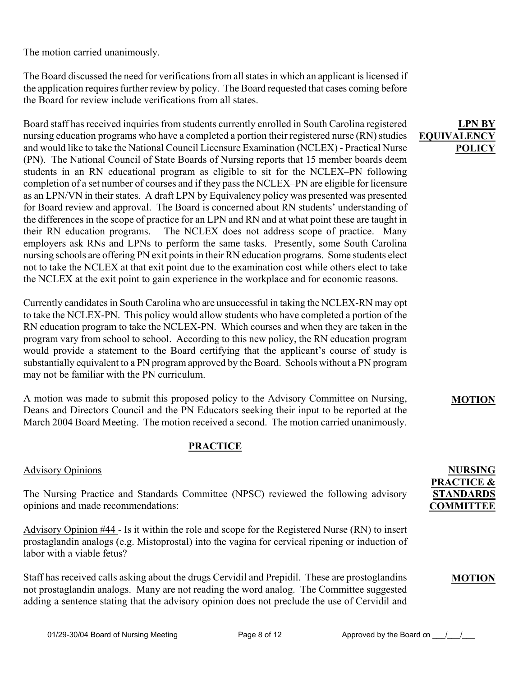The motion carried unanimously.

The Board discussed the need for verifications from all states in which an applicant is licensed if the application requires further review by policy. The Board requested that cases coming before the Board for review include verifications from all states.

Board staff has received inquiries from students currently enrolled in South Carolina registered nursing education programs who have a completed a portion their registered nurse (RN) studies and would like to take the National Council Licensure Examination (NCLEX) - Practical Nurse (PN). The National Council of State Boards of Nursing reports that 15 member boards deem students in an RN educational program as eligible to sit for the NCLEX–PN following completion of a set number of courses and if they pass the NCLEX–PN are eligible for licensure as an LPN/VN in their states. A draft LPN by Equivalency policy was presented was presented for Board review and approval. The Board is concerned about RN students' understanding of the differences in the scope of practice for an LPN and RN and at what point these are taught in their RN education programs. The NCLEX does not address scope of practice. Many employers ask RNs and LPNs to perform the same tasks. Presently, some South Carolina nursing schools are offering PN exit points in their RN education programs. Some students elect not to take the NCLEX at that exit point due to the examination cost while others elect to take the NCLEX at the exit point to gain experience in the workplace and for economic reasons.

Currently candidates in South Carolina who are unsuccessful in taking the NCLEX-RN may opt to take the NCLEX-PN. This policy would allow students who have completed a portion of the RN education program to take the NCLEX-PN. Which courses and when they are taken in the program vary from school to school. According to this new policy, the RN education program would provide a statement to the Board certifying that the applicant's course of study is substantially equivalent to a PN program approved by the Board. Schools without a PN program may not be familiar with the PN curriculum.

A motion was made to submit this proposed policy to the Advisory Committee on Nursing, Deans and Directors Council and the PN Educators seeking their input to be reported at the March 2004 Board Meeting. The motion received a second. The motion carried unanimously.

## **PRACTICE**

## Advisory Opinions

The Nursing Practice and Standards Committee (NPSC) reviewed the following advisory opinions and made recommendations:

Advisory Opinion #44 - Is it within the role and scope for the Registered Nurse (RN) to insert prostaglandin analogs (e.g. Mistoprostal) into the vagina for cervical ripening or induction of labor with a viable fetus?

Staff has received calls asking about the drugs Cervidil and Prepidil. These are prostoglandins not prostaglandin analogs. Many are not reading the word analog. The Committee suggested adding a sentence stating that the advisory opinion does not preclude the use of Cervidil and

## **LPN BY EQUIVALENC POLICY**

## **MOTION**

## **NURSING PRACTICE & STANDARDS COMMITTEE**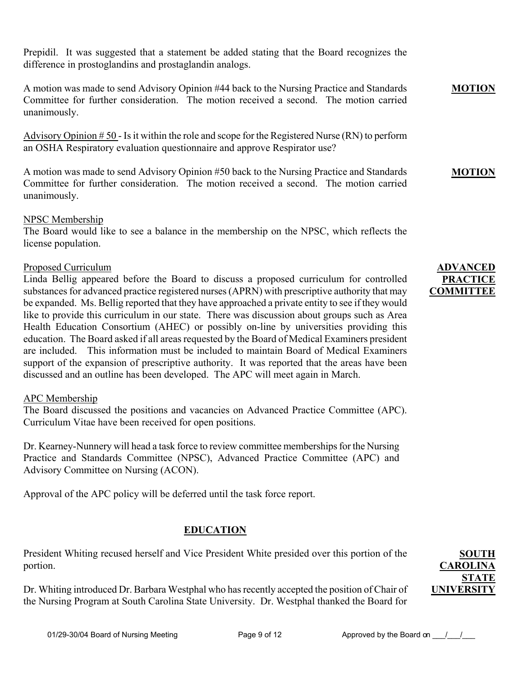Prepidil. It was suggested that a statement be added stating that the Board recognizes the difference in prostoglandins and prostaglandin analogs.

A motion was made to send Advisory Opinion #44 back to the Nursing Practice and Standards Committee for further consideration. The motion received a second. The motion carried unanimously.

Advisory Opinion  $# 50$  - Is it within the role and scope for the Registered Nurse (RN) to perform an OSHA Respiratory evaluation questionnaire and approve Respirator use?

A motion was made to send Advisory Opinion #50 back to the Nursing Practice and Standards Committee for further consideration. The motion received a second. The motion carried unanimously.

#### NPSC Membership

The Board would like to see a balance in the membership on the NPSC, which reflects the license population.

#### Proposed Curriculum

Linda Bellig appeared before the Board to discuss a proposed curriculum for controlled substances for advanced practice registered nurses (APRN) with prescriptive authority that may be expanded. Ms. Bellig reported that they have approached a private entity to see if they would like to provide this curriculum in our state. There was discussion about groups such as Area Health Education Consortium (AHEC) or possibly on-line by universities providing this education. The Board asked if all areas requested by the Board of Medical Examiners president are included. This information must be included to maintain Board of Medical Examiners support of the expansion of prescriptive authority. It was reported that the areas have been discussed and an outline has been developed. The APC will meet again in March.

#### APC Membership

The Board discussed the positions and vacancies on Advanced Practice Committee (APC). Curriculum Vitae have been received for open positions.

Dr. Kearney-Nunnery will head a task force to review committee memberships for the Nursing Practice and Standards Committee (NPSC), Advanced Practice Committee (APC) and Advisory Committee on Nursing (ACON).

Approval of the APC policy will be deferred until the task force report.

## **EDUCATION**

President Whiting recused herself and Vice President White presided over this portion of the portion.

Dr. Whiting introduced Dr. Barbara Westphal who has recently accepted the position of Chair of the Nursing Program at South Carolina State University. Dr. Westphal thanked the Board for

**ADVANCED PRACTICE COMMITTEE**

**MOTION**

**MOTION**

## **SOUTH CAROLINA STATE UNIVERSITY**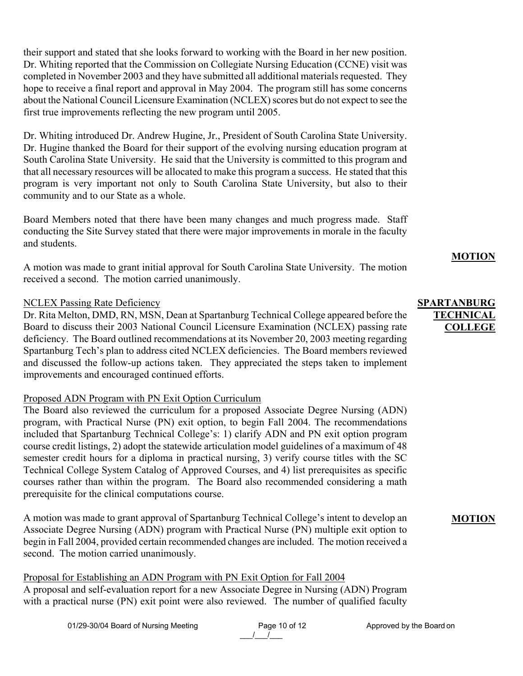their support and stated that she looks forward to working with the Board in her new position. Dr. Whiting reported that the Commission on Collegiate Nursing Education (CCNE) visit was completed in November 2003 and they have submitted all additional materials requested. They hope to receive a final report and approval in May 2004. The program still has some concerns about the National Council Licensure Examination (NCLEX) scores but do not expect to see the first true improvements reflecting the new program until 2005.

Dr. Whiting introduced Dr. Andrew Hugine, Jr., President of South Carolina State University. Dr. Hugine thanked the Board for their support of the evolving nursing education program at South Carolina State University. He said that the University is committed to this program and that all necessary resources will be allocated to make this program a success. He stated that this program is very important not only to South Carolina State University, but also to their community and to our State as a whole.

Board Members noted that there have been many changes and much progress made. Staff conducting the Site Survey stated that there were major improvements in morale in the faculty and students.

A motion was made to grant initial approval for South Carolina State University. The motion received a second. The motion carried unanimously.

#### NCLEX Passing Rate Deficiency

Dr. Rita Melton, DMD, RN, MSN, Dean at Spartanburg Technical College appeared before the Board to discuss their 2003 National Council Licensure Examination (NCLEX) passing rate deficiency. The Board outlined recommendations at its November 20, 2003 meeting regarding Spartanburg Tech's plan to address cited NCLEX deficiencies. The Board members reviewed and discussed the follow-up actions taken. They appreciated the steps taken to implement improvements and encouraged continued efforts.

## Proposed ADN Program with PN Exit Option Curriculum

The Board also reviewed the curriculum for a proposed Associate Degree Nursing (ADN) program, with Practical Nurse (PN) exit option, to begin Fall 2004. The recommendations included that Spartanburg Technical College's: 1) clarify ADN and PN exit option program course credit listings, 2) adopt the statewide articulation model guidelines of a maximum of 48 semester credit hours for a diploma in practical nursing, 3) verify course titles with the SC Technical College System Catalog of Approved Courses, and 4) list prerequisites as specific courses rather than within the program. The Board also recommended considering a math prerequisite for the clinical computations course.

A motion was made to grant approval of Spartanburg Technical College's intent to develop an Associate Degree Nursing (ADN) program with Practical Nurse (PN) multiple exit option to begin in Fall 2004, provided certain recommended changes are included. The motion received a second. The motion carried unanimously.

Proposal for Establishing an ADN Program with PN Exit Option for Fall 2004 A proposal and self-evaluation report for a new Associate Degree in Nursing (ADN) Program with a practical nurse (PN) exit point were also reviewed. The number of qualified faculty

#### **SPARTANBURG TECHNICAL COLLEGE**

**MOTION**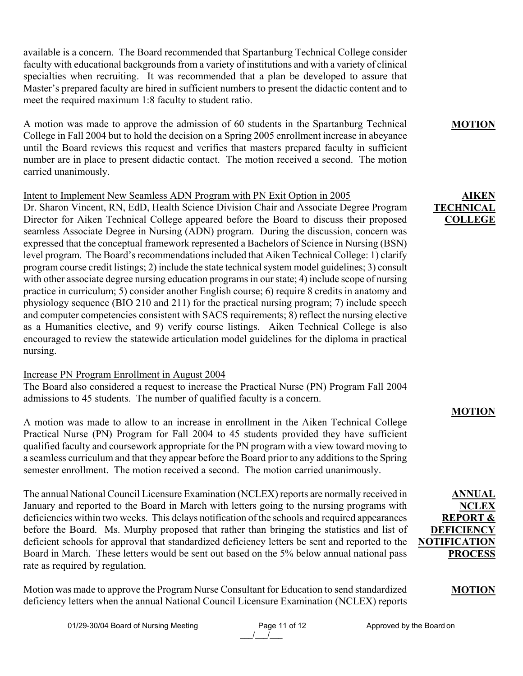available is a concern. The Board recommended that Spartanburg Technical College consider faculty with educational backgrounds from a variety of institutions and with a variety of clinical specialties when recruiting. It was recommended that a plan be developed to assure that Master's prepared faculty are hired in sufficient numbers to present the didactic content and to meet the required maximum 1:8 faculty to student ratio.

A motion was made to approve the admission of 60 students in the Spartanburg Technical College in Fall 2004 but to hold the decision on a Spring 2005 enrollment increase in abeyance until the Board reviews this request and verifies that masters prepared faculty in sufficient number are in place to present didactic contact. The motion received a second. The motion carried unanimously.

#### Intent to Implement New Seamless ADN Program with PN Exit Option in 2005

Dr. Sharon Vincent, RN, EdD, Health Science Division Chair and Associate Degree Program Director for Aiken Technical College appeared before the Board to discuss their proposed seamless Associate Degree in Nursing (ADN) program. During the discussion, concern was expressed that the conceptual framework represented a Bachelors of Science in Nursing (BSN) level program. The Board's recommendations included that Aiken Technical College: 1) clarify program course credit listings; 2) include the state technical system model guidelines; 3) consult with other associate degree nursing education programs in our state; 4) include scope of nursing practice in curriculum; 5) consider another English course; 6) require 8 credits in anatomy and physiology sequence (BIO 210 and 211) for the practical nursing program; 7) include speech and computer competencies consistent with SACS requirements; 8) reflect the nursing elective as a Humanities elective, and 9) verify course listings. Aiken Technical College is also encouraged to review the statewide articulation model guidelines for the diploma in practical nursing.

#### Increase PN Program Enrollment in August 2004

The Board also considered a request to increase the Practical Nurse (PN) Program Fall 2004 admissions to 45 students. The number of qualified faculty is a concern.

A motion was made to allow to an increase in enrollment in the Aiken Technical College Practical Nurse (PN) Program for Fall 2004 to 45 students provided they have sufficient qualified faculty and coursework appropriate for the PN program with a view toward moving to a seamless curriculum and that they appear before the Board prior to any additions to the Spring semester enrollment. The motion received a second. The motion carried unanimously.

The annual National Council Licensure Examination (NCLEX) reports are normally received in January and reported to the Board in March with letters going to the nursing programs with deficiencies within two weeks. This delays notification of the schools and required appearances before the Board. Ms. Murphy proposed that rather than bringing the statistics and list of deficient schools for approval that standardized deficiency letters be sent and reported to the Board in March. These letters would be sent out based on the 5% below annual national pass rate as required by regulation.

Motion was made to approve the Program Nurse Consultant for Education to send standardized deficiency letters when the annual National Council Licensure Examination (NCLEX) reports

#### **MOTION**

## **AIKEN TECHNICAL COLLEGE**

## **MOTION**

**ANNUAL NCLEX REPORT & DEFICIENCY NOTIFICATION PROCESS**